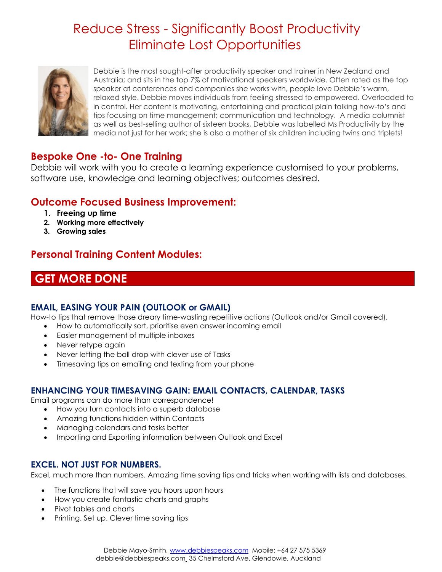# Reduce Stress - Significantly Boost Productivity Eliminate Lost Opportunities



Debbie is the most sought-after productivity speaker and trainer in New Zealand and Australia; and sits in the top 7% of motivational speakers worldwide. Often rated as the top speaker at conferences and companies she works with, people love Debbie's warm, relaxed style. Debbie moves individuals from feeling stressed to empowered. Overloaded to in control. Her content is motivating, entertaining and practical plain talking how-to's and tips focusing on time management; communication and technology. A media columnist as well as best-selling author of sixteen books, Debbie was labelled Ms Productivity by the media not just for her work; she is also a mother of six children including twins and triplets!

### **Bespoke One -to- One Training**

Debbie will work with you to create a learning experience customised to your problems, software use, knowledge and learning objectives; outcomes desired.

### **Outcome Focused Business Improvement:**

- **1. Freeing up time**
- **2. Working more effectively**
- **3. Growing sales**

## **Personal Training Content Modules:**

## **GET MORE DONE**

### **EMAIL, EASING YOUR PAIN (OUTLOOK or GMAIL)**

How-to tips that remove those dreary time-wasting repetitive actions (Outlook and/or Gmail covered).

- How to automatically sort, prioritise even answer incoming email
- Easier management of multiple inboxes
- Never retype again
- Never letting the ball drop with clever use of Tasks
- Timesaving tips on emailing and texting from your phone

### **ENHANCING YOUR TIMESAVING GAIN: EMAIL CONTACTS, CALENDAR, TASKS**

Email programs can do more than correspondence!

- How you turn contacts into a superb database
- Amazing functions hidden within Contacts
- Managing calendars and tasks better
- Importing and Exporting information between Outlook and Excel

### **EXCEL. NOT JUST FOR NUMBERS.**

Excel, much more than numbers. Amazing time saving tips and tricks when working with lists and databases.

- The functions that will save you hours upon hours
- How you create fantastic charts and graphs
- Pivot tables and charts
- Printing. Set up. Clever time saving tips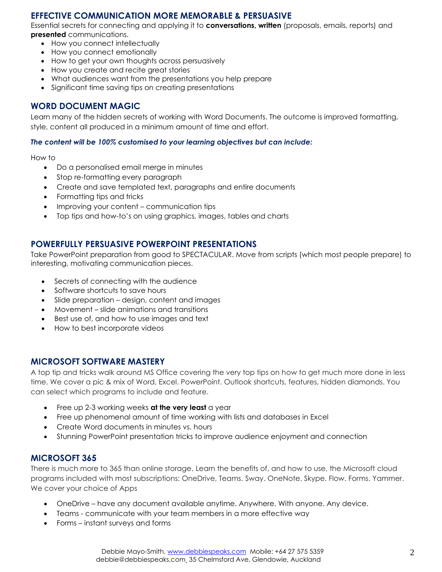### **EFFECTIVE COMMUNICATION MORE MEMORABLE & PERSUASIVE**

Essential secrets for connecting and applying it to **conversations, written** (proposals, emails, reports) and **presented** communications.

- How you connect intellectually
- How you connect emotionally
- How to get your own thoughts across persuasively
- How you create and recite great stories
- What audiences want from the presentations you help prepare
- Significant time saving tips on creating presentations

### **WORD DOCUMENT MAGIC**

Learn many of the hidden secrets of working with Word Documents. The outcome is improved formatting, style, content all produced in a minimum amount of time and effort.

#### *The content will be 100% customised to your learning objectives but can include:*

How to

- Do a personalised email merge in minutes
- Stop re-formatting every paragraph
- Create and save templated text, paragraphs and entire documents
- Formatting tips and tricks
- Improving your content communication tips
- Top tips and how-to's on using graphics, images, tables and charts

### **POWERFULLY PERSUASIVE POWERPOINT PRESENTATIONS**

Take PowerPoint preparation from good to SPECTACULAR. Move from scripts (which most people prepare) to interesting, motivating communication pieces.

- Secrets of connecting with the audience
- Software shortcuts to save hours
- Slide preparation design, content and images
- Movement slide animations and transitions
- Best use of, and how to use images and text
- How to best incorporate videos

#### **MICROSOFT SOFTWARE MASTERY**

A top tip and tricks walk around MS Office covering the very top tips on how to get much more done in less time. We cover a pic & mix of Word, Excel. PowerPoint. Outlook shortcuts, features, hidden diamonds. You can select which programs to include and feature.

- Free up 2-3 working weeks **at the very least** a year
- Free up phenomenal amount of time working with lists and databases in Excel
- Create Word documents in minutes vs. hours
- Stunning PowerPoint presentation tricks to improve audience enjoyment and connection

### **MICROSOFT 365**

There is much more to 365 than online storage. Learn the benefits of, and how to use, the Microsoft cloud programs included with most subscriptions: OneDrive, Teams. Sway. OneNote. Skype. Flow. Forms. Yammer. We cover your choice of Apps

- OneDrive have any document available anytime. Anywhere. With anyone. Any device.
- Teams communicate with your team members in a more effective way
- Forms instant surveys and forms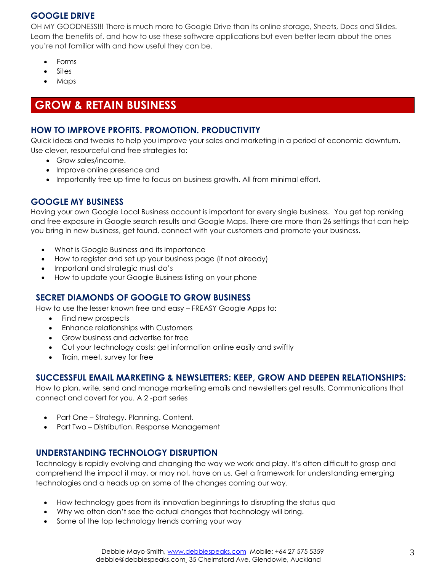### **GOOGLE DRIVE**

OH MY GOODNESS!!! There is much more to Google Drive than its online storage, Sheets, Docs and Slides. Learn the benefits of, and how to use these software applications but even better learn about the ones you're not familiar with and how useful they can be.

- Forms
- Sites
- Maps

## **GROW & RETAIN BUSINESS**

### **HOW TO IMPROVE PROFITS. PROMOTION. PRODUCTIVITY**

Quick ideas and tweaks to help you improve your sales and marketing in a period of economic downturn. Use clever, resourceful and free strategies to:

- Grow sales/income.
- Improve online presence and
- Importantly free up time to focus on business growth. All from minimal effort.

### **GOOGLE MY BUSINESS**

Having your own Google Local Business account is important for every single business. You get top ranking and free exposure in Google search results and Google Maps. There are more than 26 settings that can help you bring in new business, get found, connect with your customers and promote your business.

- What is Google Business and its importance
- How to register and set up your business page (if not already)
- Important and strategic must do's
- How to update your Google Business listing on your phone

### **SECRET DIAMONDS OF GOOGLE TO GROW BUSINESS**

How to use the lesser known free and easy – FREASY Google Apps to:

- Find new prospects
- Enhance relationships with Customers
- Grow business and advertise for free
- Cut your technology costs; get information online easily and swiftly
- Train, meet, survey for free

### **SUCCESSFUL EMAIL MARKETING & NEWSLETTERS: KEEP, GROW AND DEEPEN RELATIONSHIPS:**

How to plan, write, send and manage marketing emails and newsletters get results. Communications that connect and covert for you. A 2 -part series

- Part One Strategy. Planning. Content.
- Part Two Distribution. Response Management

### **UNDERSTANDING TECHNOLOGY DISRUPTION**

Technology is rapidly evolving and changing the way we work and play. It's often difficult to grasp and comprehend the impact it may, or may not, have on us. Get a framework for understanding emerging technologies and a heads up on some of the changes coming our way.

- How technology goes from its innovation beginnings to disrupting the status quo
- Why we often don't see the actual changes that technology will bring.
- Some of the top technology trends coming your way